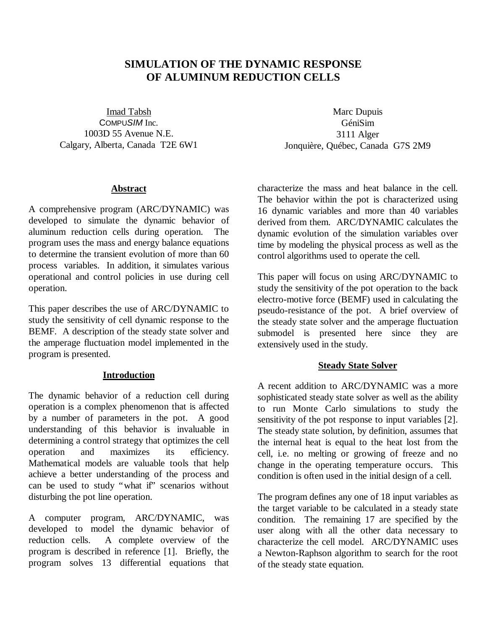# **SIMULATION OF THE DYNAMIC RESPONSE OF ALUMINUM REDUCTION CELLS**

Imad Tabsh COMPU*SIM* Inc. 1003D 55 Avenue N.E. Calgary, Alberta, Canada T2E 6W1

#### **Abstract**

A comprehensive program (ARC/DYNAMIC) was developed to simulate the dynamic behavior of aluminum reduction cells during operation. The program uses the mass and energy balance equations to determine the transient evolution of more than 60 process variables. In addition, it simulates various operational and control policies in use during cell operation.

This paper describes the use of ARC/DYNAMIC to study the sensitivity of cell dynamic response to the BEMF. A description of the steady state solver and the amperage fluctuation model implemented in the program is presented.

#### **Introduction**

The dynamic behavior of a reduction cell during operation is a complex phenomenon that is affected by a number of parameters in the pot. A good understanding of this behavior is invaluable in determining a control strategy that optimizes the cell operation and maximizes its efficiency. Mathematical models are valuable tools that help achieve a better understanding of the process and can be used to study "what if" scenarios without disturbing the pot line operation.

A computer program, ARC/DYNAMIC, was developed to model the dynamic behavior of reduction cells. A complete overview of the program is described in reference [1]. Briefly, the program solves 13 differential equations that

Marc Dupuis GéniSim 3111 Alger Jonquière, Québec, Canada G7S 2M9

characterize the mass and heat balance in the cell. The behavior within the pot is characterized using 16 dynamic variables and more than 40 variables derived from them. ARC/DYNAMIC calculates the dynamic evolution of the simulation variables over time by modeling the physical process as well as the control algorithms used to operate the cell.

This paper will focus on using ARC/DYNAMIC to study the sensitivity of the pot operation to the back electro-motive force (BEMF) used in calculating the pseudo-resistance of the pot. A brief overview of the steady state solver and the amperage fluctuation submodel is presented here since they are extensively used in the study.

#### **Steady State Solver**

A recent addition to ARC/DYNAMIC was a more sophisticated steady state solver as well as the ability to run Monte Carlo simulations to study the sensitivity of the pot response to input variables [2]. The steady state solution, by definition, assumes that the internal heat is equal to the heat lost from the cell, i.e. no melting or growing of freeze and no change in the operating temperature occurs. This condition is often used in the initial design of a cell.

The program defines any one of 18 input variables as the target variable to be calculated in a steady state condition. The remaining 17 are specified by the user along with all the other data necessary to characterize the cell model. ARC/DYNAMIC uses a Newton-Raphson algorithm to search for the root of the steady state equation.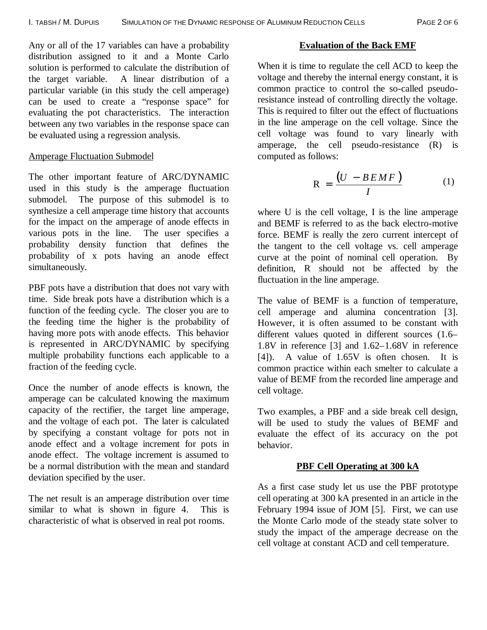Any or all of the 17 variables can have a probability distribution assigned to it and a Monte Carlo solution is performed to calculate the distribution of the target variable. A linear distribution of a particular variable (in this study the cell amperage) can be used to create a "response space" for evaluating the pot characteristics. The interaction between any two variables in the response space can be evaluated using a regression analysis.

### Amperage Fluctuation Submodel

The other important feature of ARC/DYNAMIC used in this study is the amperage fluctuation submodel. The purpose of this submodel is to synthesize a cell amperage time history that accounts for the impact on the amperage of anode effects in various pots in the line. The user specifies a probability density function that defines the probability of x pots having an anode effect simultaneously.

PBF pots have a distribution that does not vary with time. Side break pots have a distribution which is a function of the feeding cycle. The closer you are to the feeding time the higher is the probability of having more pots with anode effects. This behavior is represented in ARC/DYNAMIC by specifying multiple probability functions each applicable to a fraction of the feeding cycle.

Once the number of anode effects is known, the amperage can be calculated knowing the maximum capacity of the rectifier, the target line amperage, and the voltage of each pot. The later is calculated by specifying a constant voltage for pots not in anode effect and a voltage increment for pots in anode effect. The voltage increment is assumed to be a normal distribution with the mean and standard deviation specified by the user.

The net result is an amperage distribution over time similar to what is shown in figure 4. This is characteristic of what is observed in real pot rooms.

### **Evaluation of the Back EMF**

When it is time to regulate the cell ACD to keep the voltage and thereby the internal energy constant, it is common practice to control the so-called pseudoresistance instead of controlling directly the voltage. This is required to filter out the effect of fluctuations in the line amperage on the cell voltage. Since the cell voltage was found to vary linearly with amperage, the cell pseudo-resistance (R) is computed as follows:

$$
R = \frac{(U - BEMF)}{I}
$$
 (1)

where U is the cell voltage, I is the line amperage and BEMF is referred to as the back electro-motive force. BEMF is really the zero current intercept of the tangent to the cell voltage vs. cell amperage curve at the point of nominal cell operation. By definition, R should not be affected by the fluctuation in the line amperage.

The value of BEMF is a function of temperature, cell amperage and alumina concentration [3]. However, it is often assumed to be constant with different values quoted in different sources (1.6– 1.8V in reference [3] and 1.62–1.68V in reference [4]). A value of 1.65V is often chosen. It is common practice within each smelter to calculate a value of BEMF from the recorded line amperage and cell voltage.

Two examples, a PBF and a side break cell design, will be used to study the values of BEMF and evaluate the effect of its accuracy on the pot behavior.

# **PBF Cell Operating at 300 kA**

As a first case study let us use the PBF prototype cell operating at 300 kA presented in an article in the February 1994 issue of JOM [5]. First, we can use the Monte Carlo mode of the steady state solver to study the impact of the amperage decrease on the cell voltage at constant ACD and cell temperature.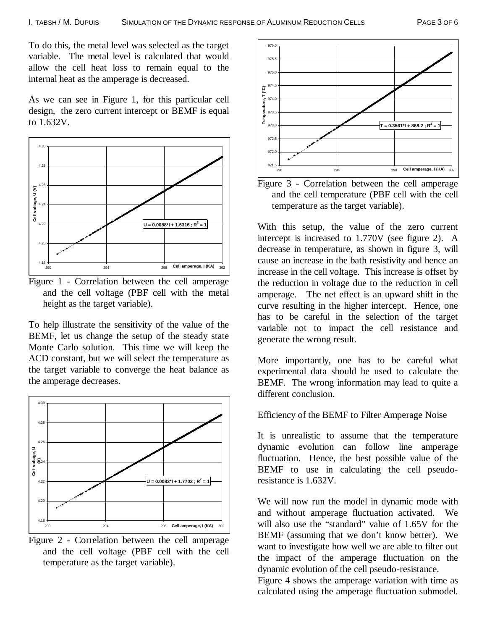To do this, the metal level was selected as the target variable. The metal level is calculated that would allow the cell heat loss to remain equal to the internal heat as the amperage is decreased.

As we can see in Figure 1, for this particular cell design, the zero current intercept or BEMF is equal to 1.632V.



Figure 1 - Correlation between the cell amperage and the cell voltage (PBF cell with the metal height as the target variable).

To help illustrate the sensitivity of the value of the BEMF, let us change the setup of the steady state Monte Carlo solution. This time we will keep the ACD constant, but we will select the temperature as the target variable to converge the heat balance as the amperage decreases.



Figure 2 - Correlation between the cell amperage and the cell voltage (PBF cell with the cell temperature as the target variable).



Figure 3 - Correlation between the cell amperage and the cell temperature (PBF cell with the cell temperature as the target variable).

With this setup, the value of the zero current intercept is increased to 1.770V (see figure 2). A decrease in temperature, as shown in figure 3, will cause an increase in the bath resistivity and hence an increase in the cell voltage. This increase is offset by the reduction in voltage due to the reduction in cell amperage. The net effect is an upward shift in the curve resulting in the higher intercept. Hence, one has to be careful in the selection of the target variable not to impact the cell resistance and generate the wrong result.

More importantly, one has to be careful what experimental data should be used to calculate the BEMF. The wrong information may lead to quite a different conclusion.

#### Efficiency of the BEMF to Filter Amperage Noise

It is unrealistic to assume that the temperature dynamic evolution can follow line amperage fluctuation. Hence, the best possible value of the BEMF to use in calculating the cell pseudoresistance is 1.632V.

We will now run the model in dynamic mode with and without amperage fluctuation activated. We will also use the "standard" value of 1.65V for the BEMF (assuming that we don't know better). We want to investigate how well we are able to filter out the impact of the amperage fluctuation on the dynamic evolution of the cell pseudo-resistance.

Figure 4 shows the amperage variation with time as calculated using the amperage fluctuation submodel.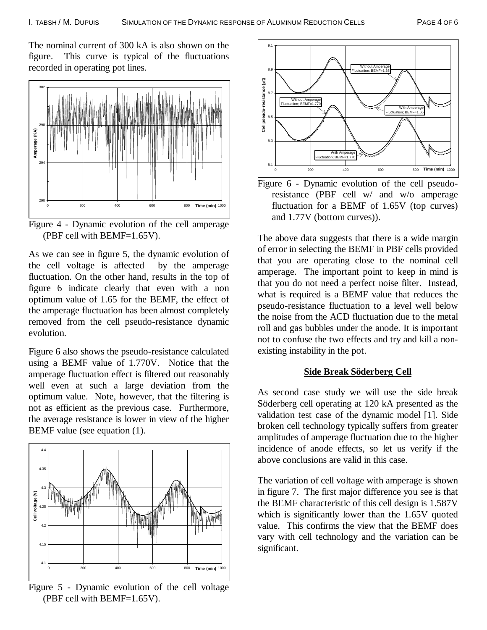The nominal current of 300 kA is also shown on the figure. This curve is typical of the fluctuations recorded in operating pot lines.



Figure 4 - Dynamic evolution of the cell amperage (PBF cell with BEMF=1.65V).

As we can see in figure 5, the dynamic evolution of the cell voltage is affected by the amperage fluctuation. On the other hand, results in the top of figure 6 indicate clearly that even with a non optimum value of 1.65 for the BEMF, the effect of the amperage fluctuation has been almost completely removed from the cell pseudo-resistance dynamic evolution.

Figure 6 also shows the pseudo-resistance calculated using a BEMF value of 1.770V. Notice that the amperage fluctuation effect is filtered out reasonably well even at such a large deviation from the optimum value. Note, however, that the filtering is not as efficient as the previous case. Furthermore, the average resistance is lower in view of the higher BEMF value (see equation (1).



Figure 5 - Dynamic evolution of the cell voltage (PBF cell with BEMF=1.65V).



Figure 6 - Dynamic evolution of the cell pseudoresistance (PBF cell w/ and w/o amperage fluctuation for a BEMF of 1.65V (top curves) and 1.77V (bottom curves)).

The above data suggests that there is a wide margin of error in selecting the BEMF in PBF cells provided that you are operating close to the nominal cell amperage. The important point to keep in mind is that you do not need a perfect noise filter. Instead, what is required is a BEMF value that reduces the pseudo-resistance fluctuation to a level well below the noise from the ACD fluctuation due to the metal roll and gas bubbles under the anode. It is important not to confuse the two effects and try and kill a nonexisting instability in the pot.

#### **Side Break Söderberg Cell**

As second case study we will use the side break Söderberg cell operating at 120 kA presented as the validation test case of the dynamic model [1]. Side broken cell technology typically suffers from greater amplitudes of amperage fluctuation due to the higher incidence of anode effects, so let us verify if the above conclusions are valid in this case.

The variation of cell voltage with amperage is shown in figure 7. The first major difference you see is that the BEMF characteristic of this cell design is 1.587V which is significantly lower than the 1.65V quoted value. This confirms the view that the BEMF does vary with cell technology and the variation can be significant.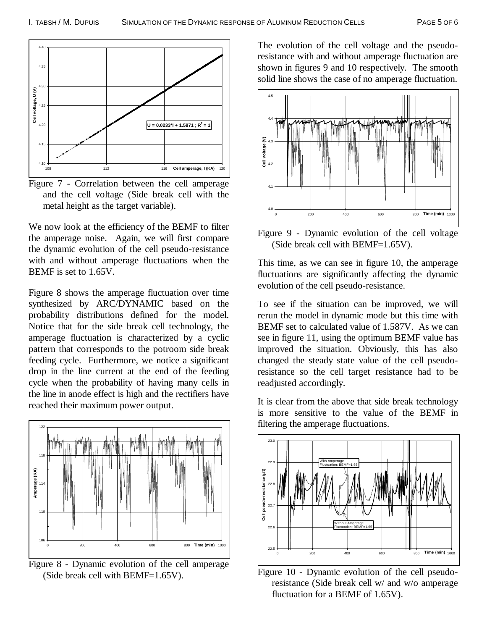

Figure 7 - Correlation between the cell amperage and the cell voltage (Side break cell with the metal height as the target variable).

We now look at the efficiency of the BEMF to filter the amperage noise. Again, we will first compare the dynamic evolution of the cell pseudo-resistance with and without amperage fluctuations when the BEMF is set to 1.65V.

Figure 8 shows the amperage fluctuation over time synthesized by ARC/DYNAMIC based on the probability distributions defined for the model. Notice that for the side break cell technology, the amperage fluctuation is characterized by a cyclic pattern that corresponds to the potroom side break feeding cycle. Furthermore, we notice a significant drop in the line current at the end of the feeding cycle when the probability of having many cells in the line in anode effect is high and the rectifiers have reached their maximum power output.



Figure 8 - Dynamic evolution of the cell amperage (Side break cell with BEMF=1.65V).

The evolution of the cell voltage and the pseudoresistance with and without amperage fluctuation are shown in figures 9 and 10 respectively. The smooth solid line shows the case of no amperage fluctuation.



Figure 9 - Dynamic evolution of the cell voltage (Side break cell with BEMF=1.65V).

This time, as we can see in figure 10, the amperage fluctuations are significantly affecting the dynamic evolution of the cell pseudo-resistance.

To see if the situation can be improved, we will rerun the model in dynamic mode but this time with BEMF set to calculated value of 1.587V. As we can see in figure 11, using the optimum BEMF value has improved the situation. Obviously, this has also changed the steady state value of the cell pseudoresistance so the cell target resistance had to be readjusted accordingly.

It is clear from the above that side break technology is more sensitive to the value of the BEMF in filtering the amperage fluctuations.



Figure 10 - Dynamic evolution of the cell pseudoresistance (Side break cell w/ and w/o amperage fluctuation for a BEMF of 1.65V).